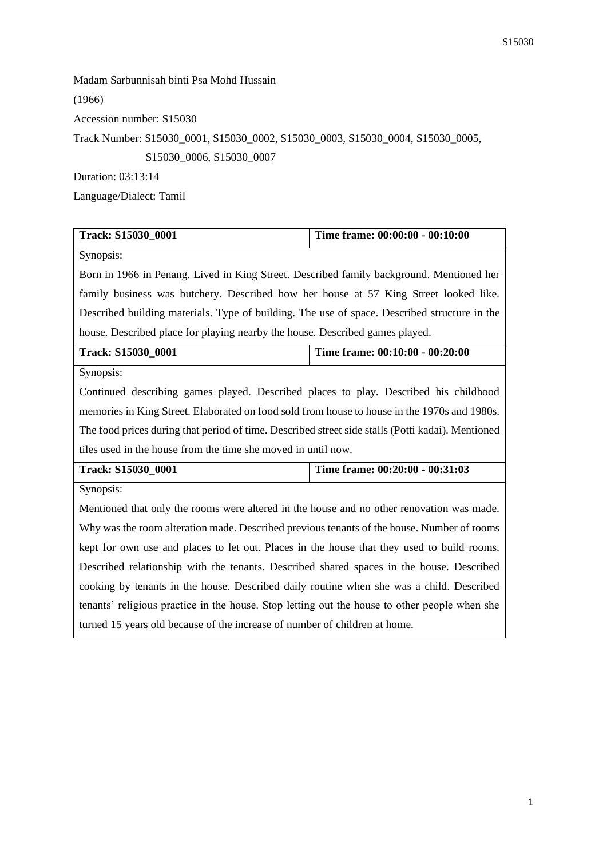Madam Sarbunnisah binti Psa Mohd Hussain (1966) Accession number: S15030 Track Number: S15030\_0001, S15030\_0002, S15030\_0003, S15030\_0004, S15030\_0005, S15030\_0006, S15030\_0007 Duration: 03:13:14

Language/Dialect: Tamil

| Track: S15030_0001                                                                                | Time frame: 00:00:00 - 00:10:00 |  |
|---------------------------------------------------------------------------------------------------|---------------------------------|--|
| Synopsis:                                                                                         |                                 |  |
| Born in 1966 in Penang. Lived in King Street. Described family background. Mentioned her          |                                 |  |
| family business was butchery. Described how her house at 57 King Street looked like.              |                                 |  |
| Described building materials. Type of building. The use of space. Described structure in the      |                                 |  |
| house. Described place for playing nearby the house. Described games played.                      |                                 |  |
| Track: S15030_0001                                                                                | Time frame: 00:10:00 - 00:20:00 |  |
| Synopsis:                                                                                         |                                 |  |
| Continued describing games played. Described places to play. Described his childhood              |                                 |  |
| memories in King Street. Elaborated on food sold from house to house in the 1970s and 1980s.      |                                 |  |
| The food prices during that period of time. Described street side stalls (Potti kadai). Mentioned |                                 |  |
| tiles used in the house from the time she moved in until now.                                     |                                 |  |
| Time frame: 00:20:00 - 00:31:03<br>Track: S15030 0001                                             |                                 |  |
| Synopsis:                                                                                         |                                 |  |
| Mentioned that only the rooms were altered in the house and no other renovation was made.         |                                 |  |
| Why was the room alteration made. Described previous tenants of the house. Number of rooms        |                                 |  |
| kept for own use and places to let out. Places in the house that they used to build rooms.        |                                 |  |
| Described relationship with the tenants. Described shared spaces in the house. Described          |                                 |  |
| cooking by tenants in the house. Described daily routine when she was a child. Described          |                                 |  |
| tenants' religious practice in the house. Stop letting out the house to other people when she     |                                 |  |
| turned 15 years old because of the increase of number of children at home.                        |                                 |  |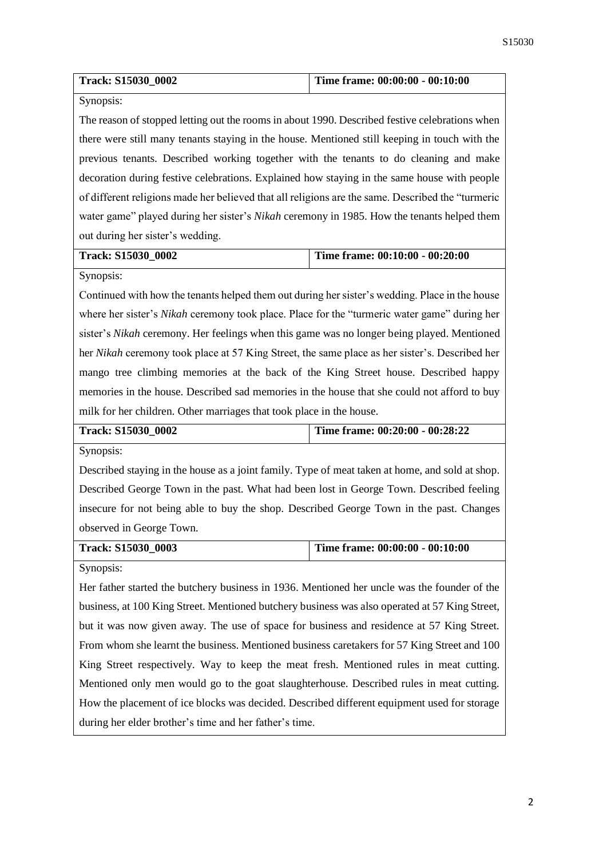| Track: S15030_0002 | Time frame: $00:00:00 - 00:10:00$ |
|--------------------|-----------------------------------|

Synopsis:

The reason of stopped letting out the rooms in about 1990. Described festive celebrations when there were still many tenants staying in the house. Mentioned still keeping in touch with the previous tenants. Described working together with the tenants to do cleaning and make decoration during festive celebrations. Explained how staying in the same house with people of different religions made her believed that all religions are the same. Described the "turmeric water game" played during her sister's *Nikah* ceremony in 1985. How the tenants helped them out during her sister's wedding.

## **Track: S15030\_0002 Time frame: 00:10:00 - 00:20:00**

Synopsis:

Continued with how the tenants helped them out during her sister's wedding. Place in the house where her sister's *Nikah* ceremony took place. Place for the "turmeric water game" during her sister's *Nikah* ceremony. Her feelings when this game was no longer being played. Mentioned her *Nikah* ceremony took place at 57 King Street, the same place as her sister's. Described her mango tree climbing memories at the back of the King Street house. Described happy memories in the house. Described sad memories in the house that she could not afford to buy milk for her children. Other marriages that took place in the house.

|  | Time frame: $00:20:00 - 00:28:22$<br>Track: S15030 0002 |
|--|---------------------------------------------------------|
|--|---------------------------------------------------------|

Synopsis:

Described staying in the house as a joint family. Type of meat taken at home, and sold at shop. Described George Town in the past. What had been lost in George Town. Described feeling insecure for not being able to buy the shop. Described George Town in the past. Changes observed in George Town.

| Track: S15030 0003 | Time frame: $00:00:00 - 00:10:00$ |
|--------------------|-----------------------------------|
|--------------------|-----------------------------------|

Synopsis:

Her father started the butchery business in 1936. Mentioned her uncle was the founder of the business, at 100 King Street. Mentioned butchery business was also operated at 57 King Street, but it was now given away. The use of space for business and residence at 57 King Street. From whom she learnt the business. Mentioned business caretakers for 57 King Street and 100 King Street respectively. Way to keep the meat fresh. Mentioned rules in meat cutting. Mentioned only men would go to the goat slaughterhouse. Described rules in meat cutting. How the placement of ice blocks was decided. Described different equipment used for storage during her elder brother's time and her father's time.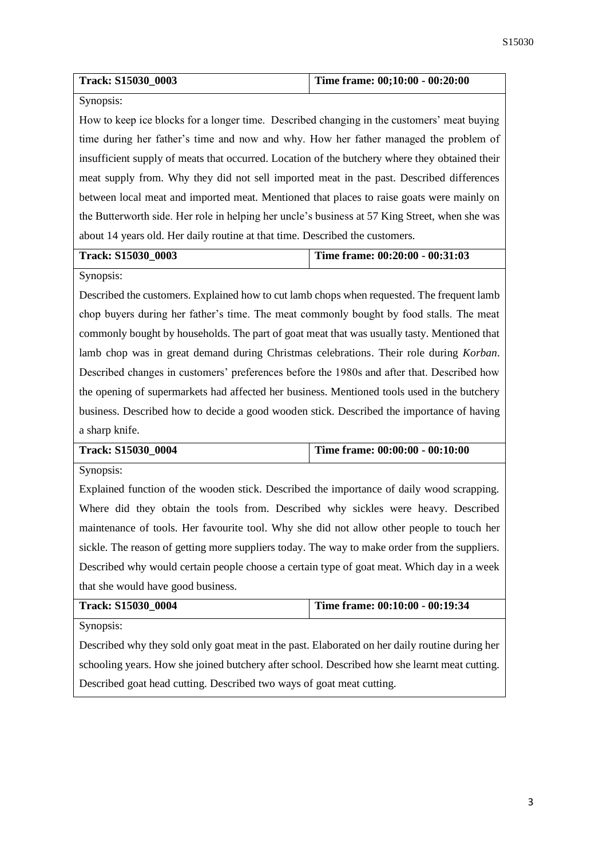| <b>Track: S15030 0003</b> | Time frame: $00;10:00 - 00:20:00$ |
|---------------------------|-----------------------------------|
|                           |                                   |

Synopsis:

How to keep ice blocks for a longer time. Described changing in the customers' meat buying time during her father's time and now and why. How her father managed the problem of insufficient supply of meats that occurred. Location of the butchery where they obtained their meat supply from. Why they did not sell imported meat in the past. Described differences between local meat and imported meat. Mentioned that places to raise goats were mainly on the Butterworth side. Her role in helping her uncle's business at 57 King Street, when she was about 14 years old. Her daily routine at that time. Described the customers.

**Track: S15030\_0003 Time frame: 00:20:00 - 00:31:03**

Synopsis:

Described the customers. Explained how to cut lamb chops when requested. The frequent lamb chop buyers during her father's time. The meat commonly bought by food stalls. The meat commonly bought by households. The part of goat meat that was usually tasty. Mentioned that lamb chop was in great demand during Christmas celebrations. Their role during *Korban*. Described changes in customers' preferences before the 1980s and after that. Described how the opening of supermarkets had affected her business. Mentioned tools used in the butchery business. Described how to decide a good wooden stick. Described the importance of having a sharp knife.

| Track: S15030 0004 | Time frame: $00:00:00 - 00:10:00$ |
|--------------------|-----------------------------------|
|                    |                                   |

Synopsis:

Explained function of the wooden stick. Described the importance of daily wood scrapping. Where did they obtain the tools from. Described why sickles were heavy. Described maintenance of tools. Her favourite tool. Why she did not allow other people to touch her sickle. The reason of getting more suppliers today. The way to make order from the suppliers. Described why would certain people choose a certain type of goat meat. Which day in a week that she would have good business.

| Track: S15030 0004 | Time frame: $00:10:00 - 00:19:34$ |
|--------------------|-----------------------------------|
| Synopsis:          |                                   |

Described why they sold only goat meat in the past. Elaborated on her daily routine during her schooling years. How she joined butchery after school. Described how she learnt meat cutting. Described goat head cutting. Described two ways of goat meat cutting.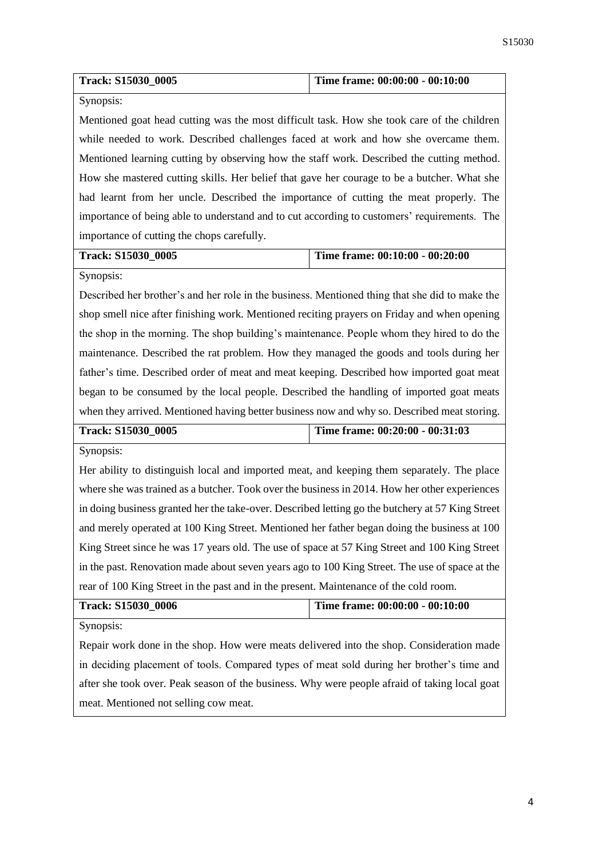| <b>Track: S15030 0005</b> | Time frame: 00:00:00 - 00:10:00 |
|---------------------------|---------------------------------|
|---------------------------|---------------------------------|

Synopsis:

Mentioned goat head cutting was the most difficult task. How she took care of the children while needed to work. Described challenges faced at work and how she overcame them. Mentioned learning cutting by observing how the staff work. Described the cutting method. How she mastered cutting skills. Her belief that gave her courage to be a butcher. What she had learnt from her uncle. Described the importance of cutting the meat properly. The importance of being able to understand and to cut according to customers' requirements. The importance of cutting the chops carefully.

## **Track: S15030\_0005 Time frame: 00:10:00 - 00:20:00**

Synopsis:

Described her brother's and her role in the business. Mentioned thing that she did to make the shop smell nice after finishing work. Mentioned reciting prayers on Friday and when opening the shop in the morning. The shop building's maintenance. People whom they hired to do the maintenance. Described the rat problem. How they managed the goods and tools during her father's time. Described order of meat and meat keeping. Described how imported goat meat began to be consumed by the local people. Described the handling of imported goat meats when they arrived. Mentioned having better business now and why so. Described meat storing.

| Track: S15030 0005 | Time frame: 00:20:00 - 00:31:03 |
|--------------------|---------------------------------|
|                    |                                 |

Synopsis:

Her ability to distinguish local and imported meat, and keeping them separately. The place where she was trained as a butcher. Took over the business in 2014. How her other experiences in doing business granted her the take-over. Described letting go the butchery at 57 King Street and merely operated at 100 King Street. Mentioned her father began doing the business at 100 King Street since he was 17 years old. The use of space at 57 King Street and 100 King Street in the past. Renovation made about seven years ago to 100 King Street. The use of space at the rear of 100 King Street in the past and in the present. Maintenance of the cold room.

| <b>Track: S15030 0006</b> | Time frame: $00:00:00 - 00:10:00$ |
|---------------------------|-----------------------------------|
| $S$ <i>vnoncia</i>        |                                   |

Synopsis:

Repair work done in the shop. How were meats delivered into the shop. Consideration made in deciding placement of tools. Compared types of meat sold during her brother's time and after she took over. Peak season of the business. Why were people afraid of taking local goat meat. Mentioned not selling cow meat.